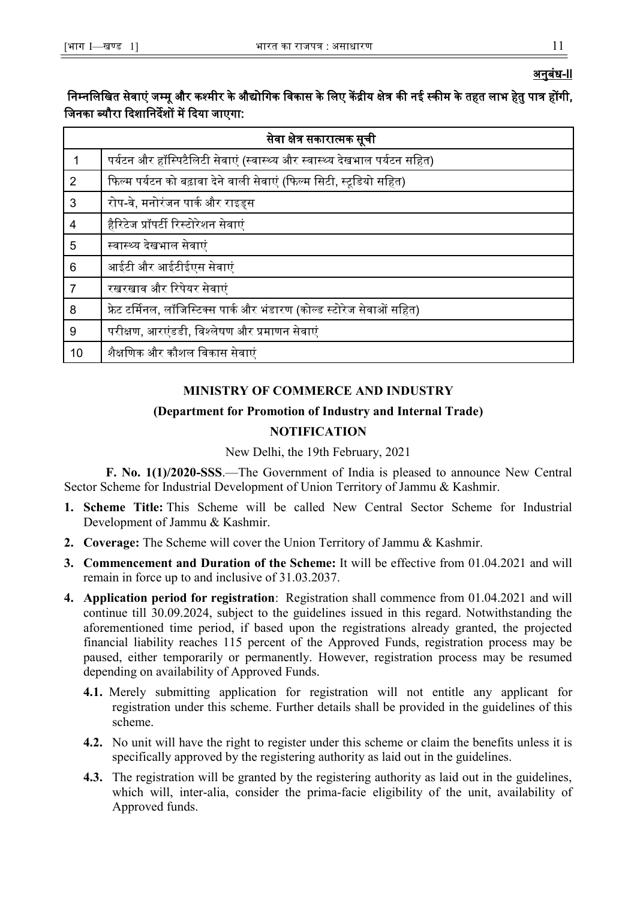## **MINISTRY OF COMMERCE AND INDUSTRY**

# **(Department for Promotion of Industry and Internal Trade)**

# **NOTIFICATION**

New Delhi, the 19th February, 2021

**F. No. 1(1)/2020-SSS**.—The Government of India is pleased to announce New Central Sector Scheme for Industrial Development of Union Territory of Jammu & Kashmir.

- **1. Scheme Title:** This Scheme will be called New Central Sector Scheme for Industrial Development of Jammu & Kashmir.
- **2. Coverage:** The Scheme will cover the Union Territory of Jammu & Kashmir.
- **3. Commencement and Duration of the Scheme:** It will be effective from 01.04.2021 and will remain in force up to and inclusive of 31.03.2037.
- **4. Application period for registration**: Registration shall commence from 01.04.2021 and will continue till 30.09.2024, subject to the guidelines issued in this regard. Notwithstanding the aforementioned time period, if based upon the registrations already granted, the projected financial liability reaches 115 percent of the Approved Funds, registration process may be paused, either temporarily or permanently. However, registration process may be resumed depending on availability of Approved Funds.
	- **4.1.** Merely submitting application for registration will not entitle any applicant for registration under this scheme. Further details shall be provided in the guidelines of this scheme.
	- **4.2.** No unit will have the right to register under this scheme or claim the benefits unless it is specifically approved by the registering authority as laid out in the guidelines.
	- **4.3.** The registration will be granted by the registering authority as laid out in the guidelines, which will, inter-alia, consider the prima-facie eligibility of the unit, availability of Approved funds.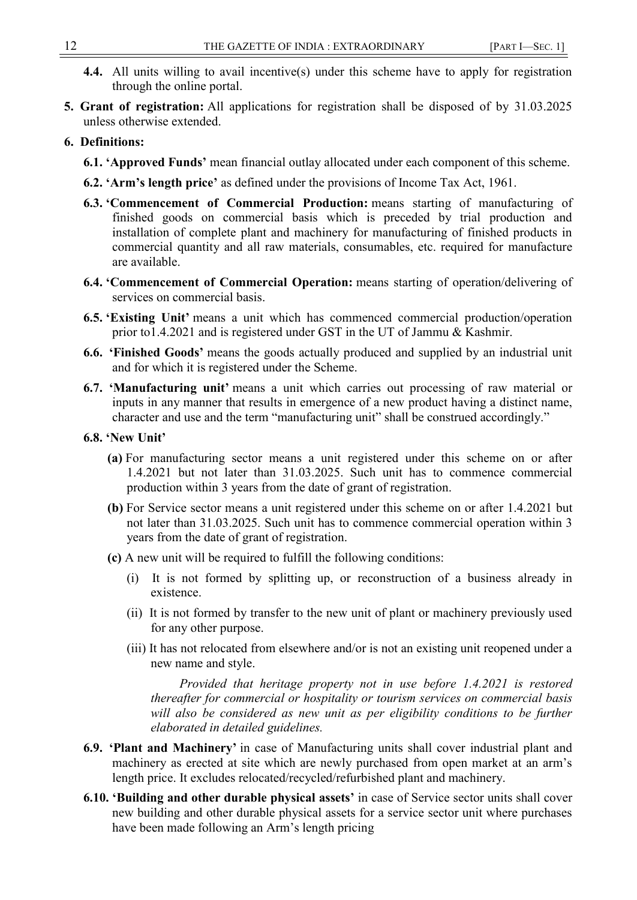- **4.4.** All units willing to avail incentive(s) under this scheme have to apply for registration through the online portal.
- **5. Grant of registration:** All applications for registration shall be disposed of by 31.03.2025 unless otherwise extended.

#### **6. Definitions:**

- **6.1. "Approved Funds"** mean financial outlay allocated under each component of this scheme.
- **6.2. "Arm"s length price"** as defined under the provisions of Income Tax Act, 1961.
- **6.3. "Commencement of Commercial Production:** means starting of manufacturing of finished goods on commercial basis which is preceded by trial production and installation of complete plant and machinery for manufacturing of finished products in commercial quantity and all raw materials, consumables, etc. required for manufacture are available.
- **6.4. "Commencement of Commercial Operation:** means starting of operation/delivering of services on commercial basis.
- **6.5. "Existing Unit"** means a unit which has commenced commercial production/operation prior to1.4.2021 and is registered under GST in the UT of Jammu & Kashmir.
- **6.6. "Finished Goods"** means the goods actually produced and supplied by an industrial unit and for which it is registered under the Scheme.
- **6.7. "Manufacturing unit"** means a unit which carries out processing of raw material or inputs in any manner that results in emergence of a new product having a distinct name, character and use and the term "manufacturing unit" shall be construed accordingly."
- **6.8. "New Unit"**
	- **(a)** For manufacturing sector means a unit registered under this scheme on or after 1.4.2021 but not later than 31.03.2025. Such unit has to commence commercial production within 3 years from the date of grant of registration.
	- **(b)** For Service sector means a unit registered under this scheme on or after 1.4.2021 but not later than 31.03.2025. Such unit has to commence commercial operation within 3 years from the date of grant of registration.
	- **(c)** A new unit will be required to fulfill the following conditions:
		- (i) It is not formed by splitting up, or reconstruction of a business already in existence.
		- (ii) It is not formed by transfer to the new unit of plant or machinery previously used for any other purpose.
		- (iii) It has not relocated from elsewhere and/or is not an existing unit reopened under a new name and style.

*Provided that heritage property not in use before 1.4.2021 is restored thereafter for commercial or hospitality or tourism services on commercial basis will also be considered as new unit as per eligibility conditions to be further elaborated in detailed guidelines.*

- **6.9. "Plant and Machinery"** in case of Manufacturing units shall cover industrial plant and machinery as erected at site which are newly purchased from open market at an arm's length price. It excludes relocated/recycled/refurbished plant and machinery.
- **6.10. "Building and other durable physical assets"** in case of Service sector units shall cover new building and other durable physical assets for a service sector unit where purchases have been made following an Arm's length pricing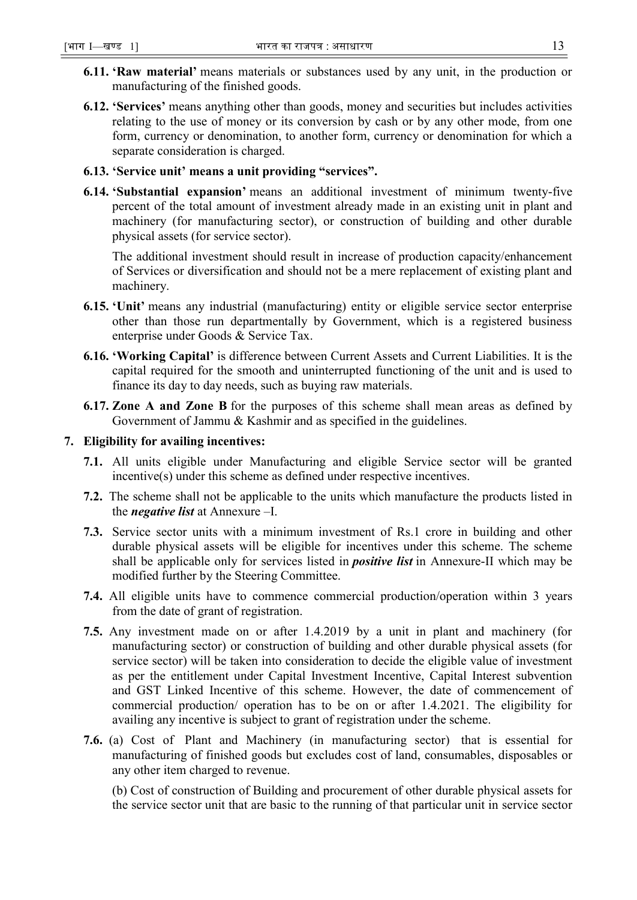- **6.11. "Raw material"** means materials or substances used by any unit, in the production or manufacturing of the finished goods.
- **6.12. "Services"** means anything other than goods, money and securities but includes activities relating to the use of money or its conversion by cash or by any other mode, from one form, currency or denomination, to another form, currency or denomination for which a separate consideration is charged.

## **6.13. "Service unit" means a unit providing "services".**

**6.14. "Substantial expansion"** means an additional investment of minimum twenty-five percent of the total amount of investment already made in an existing unit in plant and machinery (for manufacturing sector), or construction of building and other durable physical assets (for service sector).

The additional investment should result in increase of production capacity/enhancement of Services or diversification and should not be a mere replacement of existing plant and machinery.

- **6.15. "Unit"** means any industrial (manufacturing) entity or eligible service sector enterprise other than those run departmentally by Government, which is a registered business enterprise under Goods & Service Tax.
- **6.16. "Working Capital"** is difference between Current Assets and Current Liabilities. It is the capital required for the smooth and uninterrupted functioning of the unit and is used to finance its day to day needs, such as buying raw materials.
- **6.17. Zone A and Zone B** for the purposes of this scheme shall mean areas as defined by Government of Jammu & Kashmir and as specified in the guidelines.

## **7. Eligibility for availing incentives:**

- **7.1.** All units eligible under Manufacturing and eligible Service sector will be granted incentive(s) under this scheme as defined under respective incentives.
- **7.2.** The scheme shall not be applicable to the units which manufacture the products listed in the *negative list* at Annexure –I.
- **7.3.** Service sector units with a minimum investment of Rs.1 crore in building and other durable physical assets will be eligible for incentives under this scheme. The scheme shall be applicable only for services listed in *positive list* in Annexure-II which may be modified further by the Steering Committee.
- **7.4.** All eligible units have to commence commercial production/operation within 3 years from the date of grant of registration.
- **7.5.** Any investment made on or after 1.4.2019 by a unit in plant and machinery (for manufacturing sector) or construction of building and other durable physical assets (for service sector) will be taken into consideration to decide the eligible value of investment as per the entitlement under Capital Investment Incentive, Capital Interest subvention and GST Linked Incentive of this scheme. However, the date of commencement of commercial production/ operation has to be on or after 1.4.2021. The eligibility for availing any incentive is subject to grant of registration under the scheme.
- **7.6.** (a) Cost of Plant and Machinery (in manufacturing sector) that is essential for manufacturing of finished goods but excludes cost of land, consumables, disposables or any other item charged to revenue.

(b) Cost of construction of Building and procurement of other durable physical assets for the service sector unit that are basic to the running of that particular unit in service sector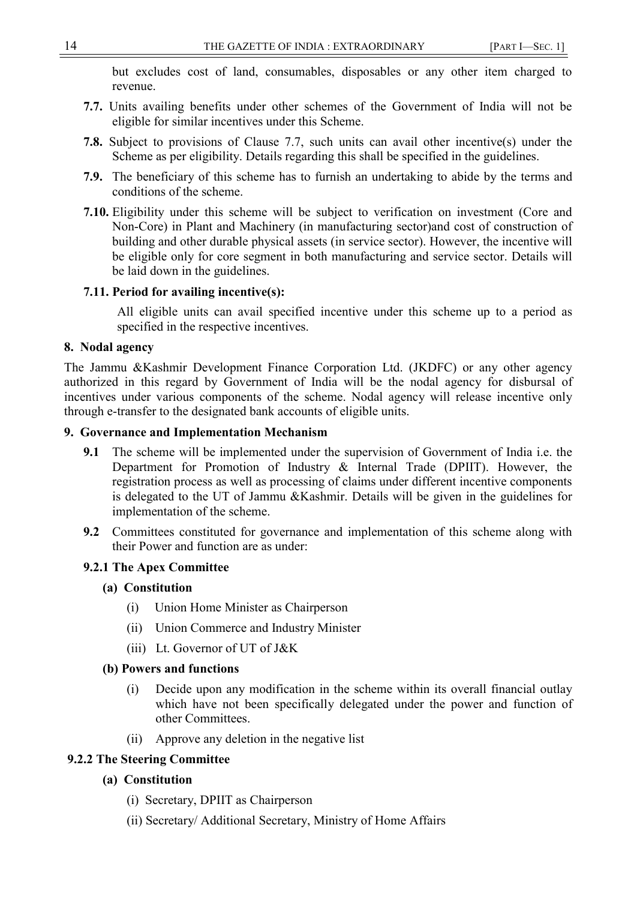but excludes cost of land, consumables, disposables or any other item charged to revenue.

- **7.7.** Units availing benefits under other schemes of the Government of India will not be eligible for similar incentives under this Scheme.
- **7.8.** Subject to provisions of Clause 7.7, such units can avail other incentive(s) under the Scheme as per eligibility. Details regarding this shall be specified in the guidelines.
- **7.9.** The beneficiary of this scheme has to furnish an undertaking to abide by the terms and conditions of the scheme.
- **7.10.** Eligibility under this scheme will be subject to verification on investment (Core and Non-Core) in Plant and Machinery (in manufacturing sector)and cost of construction of building and other durable physical assets (in service sector). However, the incentive will be eligible only for core segment in both manufacturing and service sector. Details will be laid down in the guidelines.

## **7.11. Period for availing incentive(s):**

All eligible units can avail specified incentive under this scheme up to a period as specified in the respective incentives.

#### **8. Nodal agency**

The Jammu &Kashmir Development Finance Corporation Ltd. (JKDFC) or any other agency authorized in this regard by Government of India will be the nodal agency for disbursal of incentives under various components of the scheme. Nodal agency will release incentive only through e-transfer to the designated bank accounts of eligible units.

#### **9. Governance and Implementation Mechanism**

- **9.1** The scheme will be implemented under the supervision of Government of India i.e. the Department for Promotion of Industry & Internal Trade (DPIIT). However, the registration process as well as processing of claims under different incentive components is delegated to the UT of Jammu &Kashmir. Details will be given in the guidelines for implementation of the scheme.
- **9.2** Committees constituted for governance and implementation of this scheme along with their Power and function are as under:

## **9.2.1 The Apex Committee**

## **(a) Constitution**

- (i) Union Home Minister as Chairperson
- (ii) Union Commerce and Industry Minister
- (iii) Lt. Governor of UT of J&K

#### **(b) Powers and functions**

- (i) Decide upon any modification in the scheme within its overall financial outlay which have not been specifically delegated under the power and function of other Committees.
- (ii) Approve any deletion in the negative list

## **9.2.2 The Steering Committee**

## **(a) Constitution**

- (i) Secretary, DPIIT as Chairperson
- (ii) Secretary/ Additional Secretary, Ministry of Home Affairs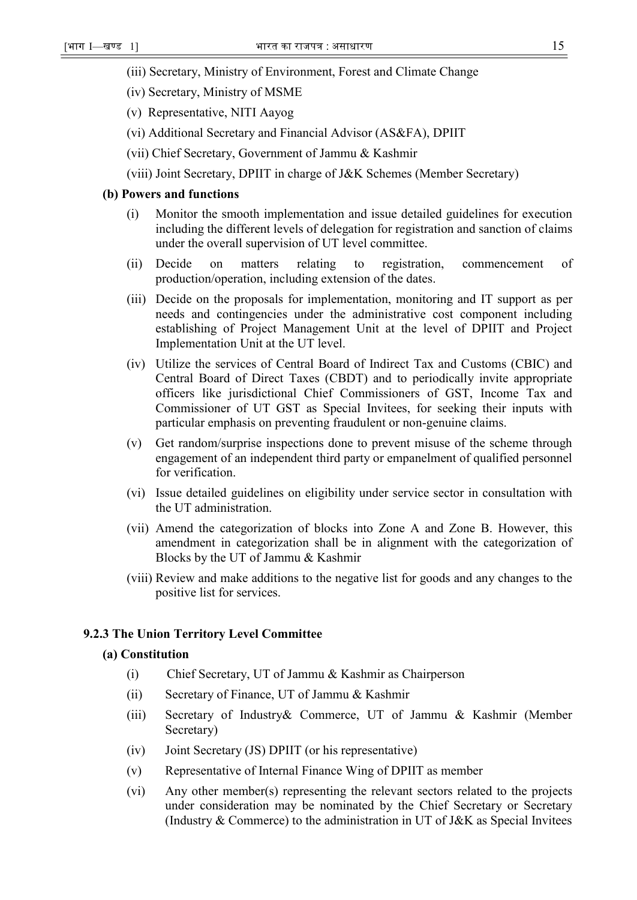- (iii) Secretary, Ministry of Environment, Forest and Climate Change
- (iv) Secretary, Ministry of MSME
- (v) Representative, NITI Aayog
- (vi) Additional Secretary and Financial Advisor (AS&FA), DPIIT
- (vii) Chief Secretary, Government of Jammu & Kashmir
- (viii) Joint Secretary, DPIIT in charge of J&K Schemes (Member Secretary)

#### **(b) Powers and functions**

- (i) Monitor the smooth implementation and issue detailed guidelines for execution including the different levels of delegation for registration and sanction of claims under the overall supervision of UT level committee.
- (ii) Decide on matters relating to registration, commencement of production/operation, including extension of the dates.
- (iii) Decide on the proposals for implementation, monitoring and IT support as per needs and contingencies under the administrative cost component including establishing of Project Management Unit at the level of DPIIT and Project Implementation Unit at the UT level.
- (iv) Utilize the services of Central Board of Indirect Tax and Customs (CBIC) and Central Board of Direct Taxes (CBDT) and to periodically invite appropriate officers like jurisdictional Chief Commissioners of GST, Income Tax and Commissioner of UT GST as Special Invitees, for seeking their inputs with particular emphasis on preventing fraudulent or non-genuine claims.
- (v) Get random/surprise inspections done to prevent misuse of the scheme through engagement of an independent third party or empanelment of qualified personnel for verification.
- (vi) Issue detailed guidelines on eligibility under service sector in consultation with the UT administration.
- (vii) Amend the categorization of blocks into Zone A and Zone B. However, this amendment in categorization shall be in alignment with the categorization of Blocks by the UT of Jammu & Kashmir
- (viii) Review and make additions to the negative list for goods and any changes to the positive list for services.

#### **9.2.3 The Union Territory Level Committee**

#### **(a) Constitution**

- (i) Chief Secretary, UT of Jammu & Kashmir as Chairperson
- (ii) Secretary of Finance, UT of Jammu & Kashmir
- (iii) Secretary of Industry& Commerce, UT of Jammu & Kashmir (Member Secretary)
- (iv) Joint Secretary (JS) DPIIT (or his representative)
- (v) Representative of Internal Finance Wing of DPIIT as member
- (vi) Any other member(s) representing the relevant sectors related to the projects under consideration may be nominated by the Chief Secretary or Secretary (Industry & Commerce) to the administration in UT of J&K as Special Invitees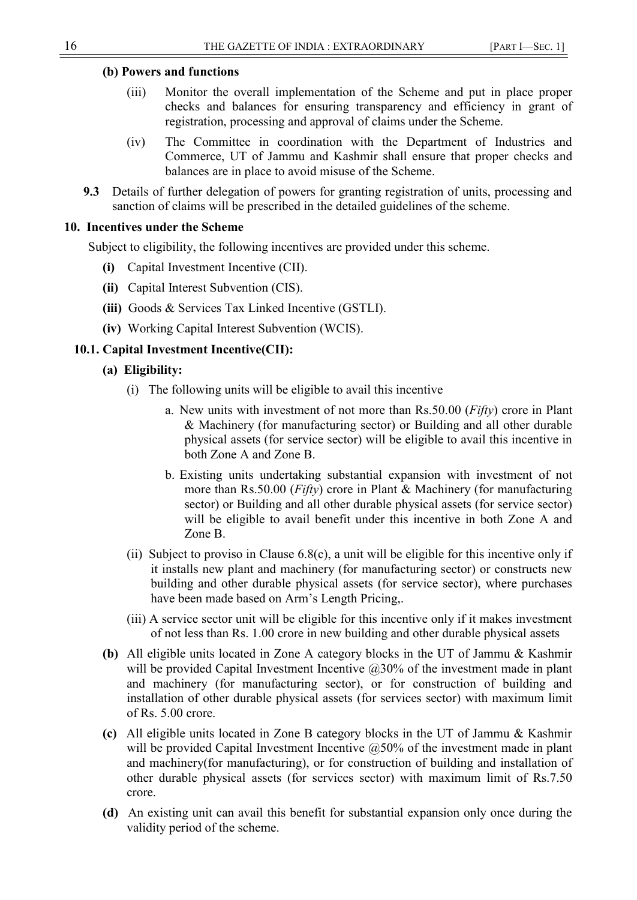## **(b) Powers and functions**

- (iii) Monitor the overall implementation of the Scheme and put in place proper checks and balances for ensuring transparency and efficiency in grant of registration, processing and approval of claims under the Scheme.
- (iv) The Committee in coordination with the Department of Industries and Commerce, UT of Jammu and Kashmir shall ensure that proper checks and balances are in place to avoid misuse of the Scheme.
- **9.3** Details of further delegation of powers for granting registration of units, processing and sanction of claims will be prescribed in the detailed guidelines of the scheme.

# **10. Incentives under the Scheme**

Subject to eligibility, the following incentives are provided under this scheme.

- **(i)** Capital Investment Incentive (CII).
- **(ii)** Capital Interest Subvention (CIS).
- **(iii)** Goods & Services Tax Linked Incentive (GSTLI).
- **(iv)** Working Capital Interest Subvention (WCIS).

# **10.1. Capital Investment Incentive(CII):**

- **(a) Eligibility:**
	- (i) The following units will be eligible to avail this incentive
		- a. New units with investment of not more than Rs.50.00 (*Fifty*) crore in Plant & Machinery (for manufacturing sector) or Building and all other durable physical assets (for service sector) will be eligible to avail this incentive in both Zone A and Zone B.
		- b. Existing units undertaking substantial expansion with investment of not more than Rs.50.00 (*Fifty*) crore in Plant & Machinery (for manufacturing sector) or Building and all other durable physical assets (for service sector) will be eligible to avail benefit under this incentive in both Zone A and Zone B.
	- (ii) Subject to proviso in Clause 6.8(c), a unit will be eligible for this incentive only if it installs new plant and machinery (for manufacturing sector) or constructs new building and other durable physical assets (for service sector), where purchases have been made based on Arm's Length Pricing,.
	- (iii) A service sector unit will be eligible for this incentive only if it makes investment of not less than Rs. 1.00 crore in new building and other durable physical assets
- **(b)** All eligible units located in Zone A category blocks in the UT of Jammu & Kashmir will be provided Capital Investment Incentive @30% of the investment made in plant and machinery (for manufacturing sector), or for construction of building and installation of other durable physical assets (for services sector) with maximum limit of Rs. 5.00 crore.
- **(c)** All eligible units located in Zone B category blocks in the UT of Jammu & Kashmir will be provided Capital Investment Incentive  $@50\%$  of the investment made in plant and machinery(for manufacturing), or for construction of building and installation of other durable physical assets (for services sector) with maximum limit of Rs.7.50 crore.
- **(d)** An existing unit can avail this benefit for substantial expansion only once during the validity period of the scheme.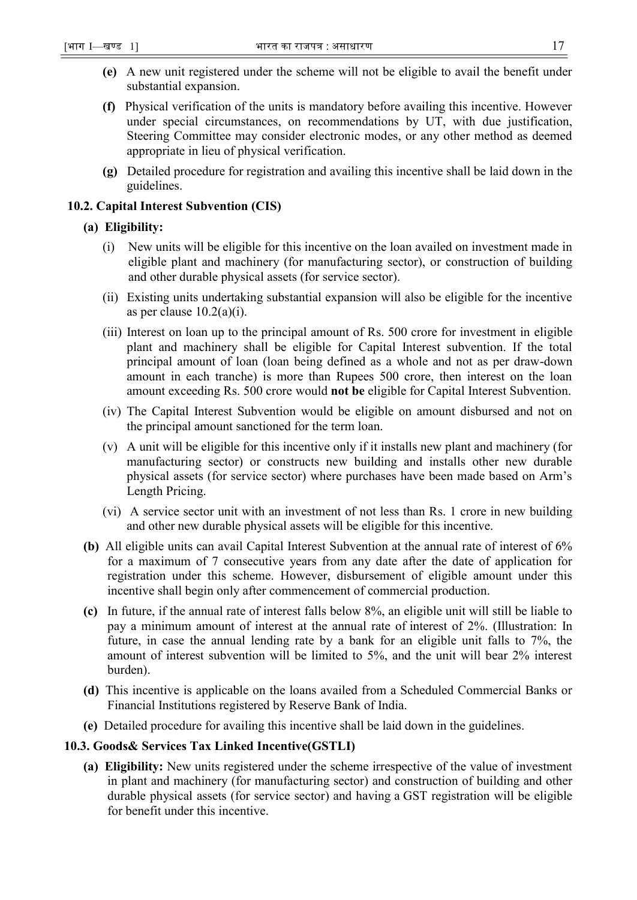- **(e)** A new unit registered under the scheme will not be eligible to avail the benefit under substantial expansion.
- **(f)** Physical verification of the units is mandatory before availing this incentive. However under special circumstances, on recommendations by UT, with due justification, Steering Committee may consider electronic modes, or any other method as deemed appropriate in lieu of physical verification.
- **(g)** Detailed procedure for registration and availing this incentive shall be laid down in the guidelines.

## **10.2. Capital Interest Subvention (CIS)**

#### **(a) Eligibility:**

- (i) New units will be eligible for this incentive on the loan availed on investment made in eligible plant and machinery (for manufacturing sector), or construction of building and other durable physical assets (for service sector).
- (ii) Existing units undertaking substantial expansion will also be eligible for the incentive as per clause  $10.2(a)(i)$ .
- (iii) Interest on loan up to the principal amount of Rs. 500 crore for investment in eligible plant and machinery shall be eligible for Capital Interest subvention. If the total principal amount of loan (loan being defined as a whole and not as per draw-down amount in each tranche) is more than Rupees 500 crore, then interest on the loan amount exceeding Rs. 500 crore would **not be** eligible for Capital Interest Subvention.
- (iv) The Capital Interest Subvention would be eligible on amount disbursed and not on the principal amount sanctioned for the term loan.
- (v) A unit will be eligible for this incentive only if it installs new plant and machinery (for manufacturing sector) or constructs new building and installs other new durable physical assets (for service sector) where purchases have been made based on Arm's Length Pricing.
- (vi) A service sector unit with an investment of not less than Rs. 1 crore in new building and other new durable physical assets will be eligible for this incentive.
- **(b)** All eligible units can avail Capital Interest Subvention at the annual rate of interest of 6% for a maximum of 7 consecutive years from any date after the date of application for registration under this scheme. However, disbursement of eligible amount under this incentive shall begin only after commencement of commercial production.
- **(c)** In future, if the annual rate of interest falls below 8%, an eligible unit will still be liable to pay a minimum amount of interest at the annual rate of interest of 2%. (Illustration: In future, in case the annual lending rate by a bank for an eligible unit falls to 7%, the amount of interest subvention will be limited to 5%, and the unit will bear 2% interest burden).
- **(d)** This incentive is applicable on the loans availed from a Scheduled Commercial Banks or Financial Institutions registered by Reserve Bank of India.
- **(e)** Detailed procedure for availing this incentive shall be laid down in the guidelines.

## **10.3. Goods& Services Tax Linked Incentive(GSTLI)**

**(a) Eligibility:** New units registered under the scheme irrespective of the value of investment in plant and machinery (for manufacturing sector) and construction of building and other durable physical assets (for service sector) and having a GST registration will be eligible for benefit under this incentive.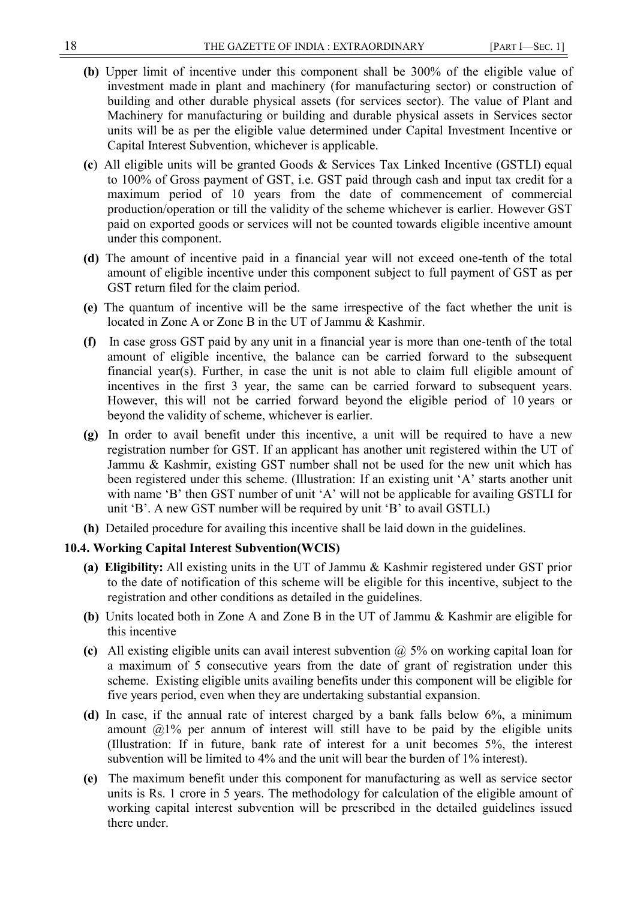- **(b)** Upper limit of incentive under this component shall be 300% of the eligible value of investment made in plant and machinery (for manufacturing sector) or construction of building and other durable physical assets (for services sector). The value of Plant and Machinery for manufacturing or building and durable physical assets in Services sector units will be as per the eligible value determined under Capital Investment Incentive or Capital Interest Subvention, whichever is applicable.
- **(c**)All eligible units will be granted Goods & Services Tax Linked Incentive (GSTLI) equal to 100% of Gross payment of GST, i.e. GST paid through cash and input tax credit for a maximum period of 10 years from the date of commencement of commercial production/operation or till the validity of the scheme whichever is earlier. However GST paid on exported goods or services will not be counted towards eligible incentive amount under this component.
- **(d)** The amount of incentive paid in a financial year will not exceed one-tenth of the total amount of eligible incentive under this component subject to full payment of GST as per GST return filed for the claim period.
- **(e)** The quantum of incentive will be the same irrespective of the fact whether the unit is located in Zone A or Zone B in the UT of Jammu & Kashmir.
- **(f)** In case gross GST paid by any unit in a financial year is more than one-tenth of the total amount of eligible incentive, the balance can be carried forward to the subsequent financial year(s). Further, in case the unit is not able to claim full eligible amount of incentives in the first 3 year, the same can be carried forward to subsequent years. However, this will not be carried forward beyond the eligible period of 10 years or beyond the validity of scheme, whichever is earlier.
- **(g)** In order to avail benefit under this incentive, a unit will be required to have a new registration number for GST. If an applicant has another unit registered within the UT of Jammu & Kashmir, existing GST number shall not be used for the new unit which has been registered under this scheme. (Illustration: If an existing unit 'A' starts another unit with name 'B' then GST number of unit 'A' will not be applicable for availing GSTLI for unit 'B'. A new GST number will be required by unit 'B' to avail GSTLI.)
- **(h)** Detailed procedure for availing this incentive shall be laid down in the guidelines.

## **10.4. Working Capital Interest Subvention(WCIS)**

- **(a) Eligibility:** All existing units in the UT of Jammu & Kashmir registered under GST prior to the date of notification of this scheme will be eligible for this incentive, subject to the registration and other conditions as detailed in the guidelines.
- **(b)** Units located both in Zone A and Zone B in the UT of Jammu & Kashmir are eligible for this incentive
- **(c)** All existing eligible units can avail interest subvention @ 5% on working capital loan for a maximum of 5 consecutive years from the date of grant of registration under this scheme. Existing eligible units availing benefits under this component will be eligible for five years period, even when they are undertaking substantial expansion.
- **(d)** In case, if the annual rate of interest charged by a bank falls below 6%, a minimum amount  $@1\%$  per annum of interest will still have to be paid by the eligible units (Illustration: If in future, bank rate of interest for a unit becomes 5%, the interest subvention will be limited to 4% and the unit will bear the burden of 1% interest).
- **(e)** The maximum benefit under this component for manufacturing as well as service sector units is Rs. 1 crore in 5 years. The methodology for calculation of the eligible amount of working capital interest subvention will be prescribed in the detailed guidelines issued there under.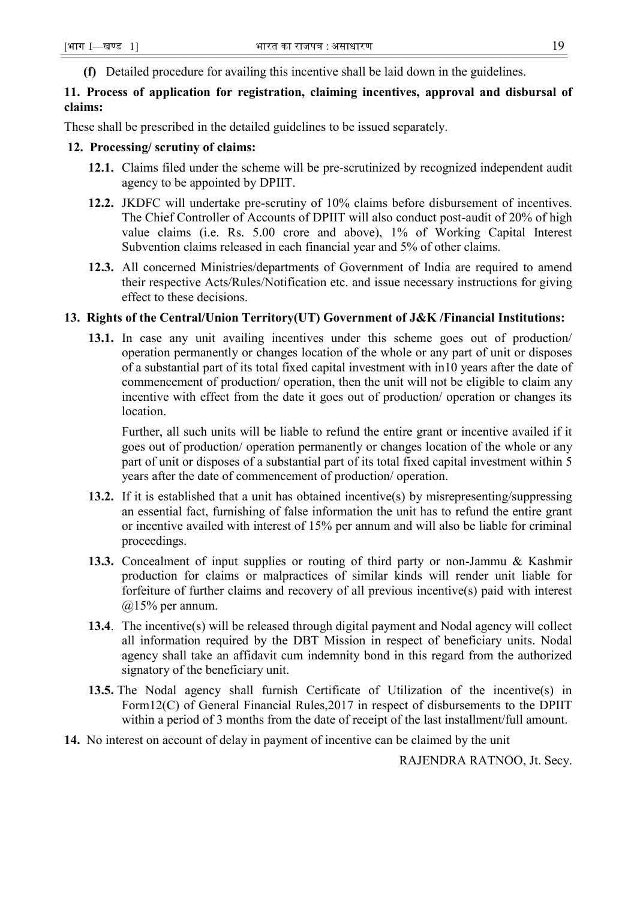**(f)** Detailed procedure for availing this incentive shall be laid down in the guidelines.

# **11. Process of application for registration, claiming incentives, approval and disbursal of claims:**

These shall be prescribed in the detailed guidelines to be issued separately.

#### **12. Processing/ scrutiny of claims:**

- **12.1.** Claims filed under the scheme will be pre-scrutinized by recognized independent audit agency to be appointed by DPIIT.
- **12.2.** JKDFC will undertake pre-scrutiny of 10% claims before disbursement of incentives. The Chief Controller of Accounts of DPIIT will also conduct post-audit of 20% of high value claims (i.e. Rs. 5.00 crore and above), 1% of Working Capital Interest Subvention claims released in each financial year and 5% of other claims.
- **12.3.** All concerned Ministries/departments of Government of India are required to amend their respective Acts/Rules/Notification etc. and issue necessary instructions for giving effect to these decisions.

## **13. Rights of the Central/Union Territory(UT) Government of J&K /Financial Institutions:**

**13.1.** In case any unit availing incentives under this scheme goes out of production/ operation permanently or changes location of the whole or any part of unit or disposes of a substantial part of its total fixed capital investment with in10 years after the date of commencement of production/ operation, then the unit will not be eligible to claim any incentive with effect from the date it goes out of production/ operation or changes its location.

Further, all such units will be liable to refund the entire grant or incentive availed if it goes out of production/ operation permanently or changes location of the whole or any part of unit or disposes of a substantial part of its total fixed capital investment within 5 years after the date of commencement of production/ operation.

- **13.2.** If it is established that a unit has obtained incentive(s) by misrepresenting/suppressing an essential fact, furnishing of false information the unit has to refund the entire grant or incentive availed with interest of 15% per annum and will also be liable for criminal proceedings.
- **13.3.** Concealment of input supplies or routing of third party or non-Jammu & Kashmir production for claims or malpractices of similar kinds will render unit liable for forfeiture of further claims and recovery of all previous incentive(s) paid with interest  $(a)15%$  per annum.
- **13.4**. The incentive(s) will be released through digital payment and Nodal agency will collect all information required by the DBT Mission in respect of beneficiary units. Nodal agency shall take an affidavit cum indemnity bond in this regard from the authorized signatory of the beneficiary unit.
- **13.5.** The Nodal agency shall furnish Certificate of Utilization of the incentive(s) in Form12(C) of General Financial Rules,2017 in respect of disbursements to the DPIIT within a period of 3 months from the date of receipt of the last installment/full amount.
- **14.** No interest on account of delay in payment of incentive can be claimed by the unit

RAJENDRA RATNOO, Jt. Secy.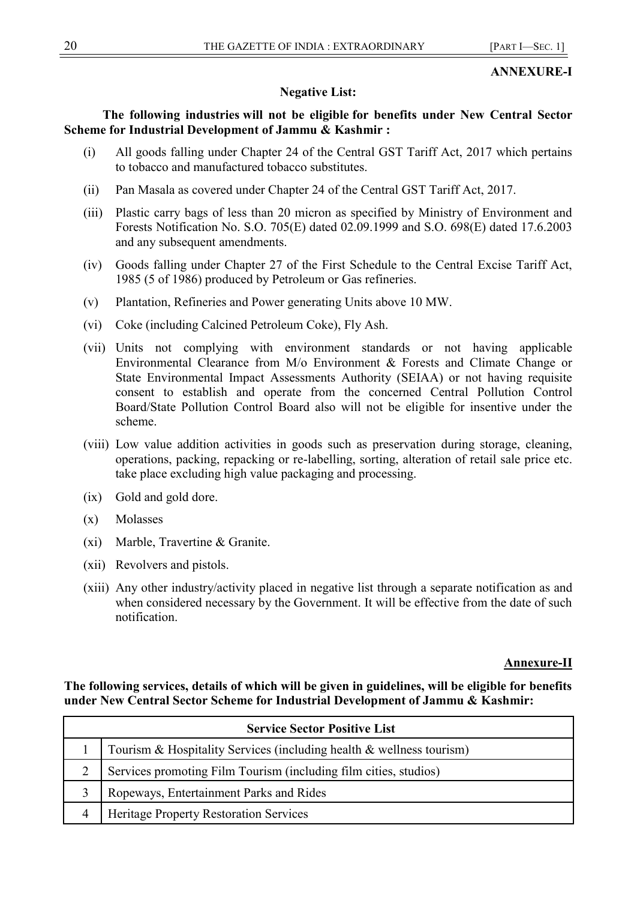# **ANNEXURE-I**

# **Negative List:**

# **The following industries will not be eligible for benefits under New Central Sector Scheme for Industrial Development of Jammu & Kashmir :**

- (i) All goods falling under Chapter 24 of the Central GST Tariff Act, 2017 which pertains to tobacco and manufactured tobacco substitutes.
- (ii) Pan Masala as covered under Chapter 24 of the Central GST Tariff Act, 2017.
- (iii) Plastic carry bags of less than 20 micron as specified by Ministry of Environment and Forests Notification No. S.O. 705(E) dated 02.09.1999 and S.O. 698(E) dated 17.6.2003 and any subsequent amendments.
- (iv) Goods falling under Chapter 27 of the First Schedule to the Central Excise Tariff Act, 1985 (5 of 1986) produced by Petroleum or Gas refineries.
- (v) Plantation, Refineries and Power generating Units above 10 MW.
- (vi) Coke (including Calcined Petroleum Coke), Fly Ash.
- (vii) Units not complying with environment standards or not having applicable Environmental Clearance from M/o Environment & Forests and Climate Change or State Environmental Impact Assessments Authority (SEIAA) or not having requisite consent to establish and operate from the concerned Central Pollution Control Board/State Pollution Control Board also will not be eligible for insentive under the scheme.
- (viii) Low value addition activities in goods such as preservation during storage, cleaning, operations, packing, repacking or re-labelling, sorting, alteration of retail sale price etc. take place excluding high value packaging and processing.
- (ix) Gold and gold dore.
- (x) Molasses
- (xi) Marble, Travertine & Granite.
- (xii) Revolvers and pistols.
- (xiii) Any other industry/activity placed in negative list through a separate notification as and when considered necessary by the Government. It will be effective from the date of such notification.

## **Annexure-II**

# **The following services, details of which will be given in guidelines, will be eligible for benefits under New Central Sector Scheme for Industrial Development of Jammu & Kashmir:**

| <b>Service Sector Positive List</b> |                                                                      |
|-------------------------------------|----------------------------------------------------------------------|
|                                     | Tourism & Hospitality Services (including health & wellness tourism) |
|                                     | Services promoting Film Tourism (including film cities, studios)     |
|                                     | Ropeways, Entertainment Parks and Rides                              |
|                                     | Heritage Property Restoration Services                               |